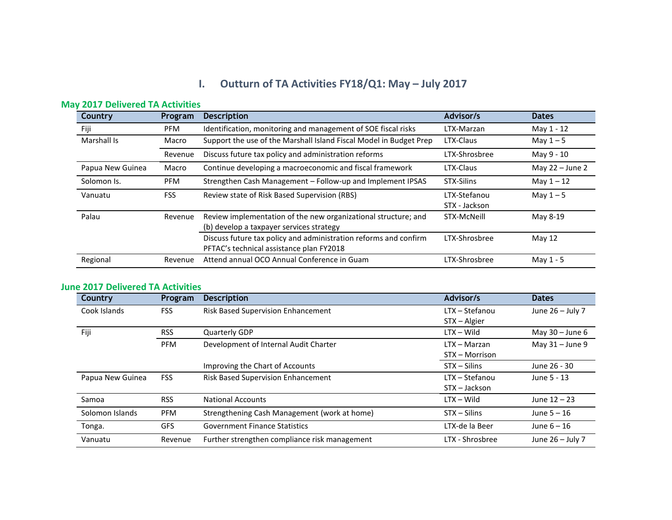## **I.** Outturn of TA Activities FY18/Q1: May - July 2017

| <b>Country</b>   | Program    | <b>Description</b>                                                                                           | Advisor/s                     | <b>Dates</b>      |
|------------------|------------|--------------------------------------------------------------------------------------------------------------|-------------------------------|-------------------|
| Fiji             | <b>PFM</b> | Identification, monitoring and management of SOE fiscal risks                                                | LTX-Marzan                    | May 1 - 12        |
| Marshall Is      | Macro      | Support the use of the Marshall Island Fiscal Model in Budget Prep                                           | LTX-Claus                     | May $1-5$         |
|                  | Revenue    | Discuss future tax policy and administration reforms                                                         | LTX-Shrosbree                 | May 9 - 10        |
| Papua New Guinea | Macro      | Continue developing a macroeconomic and fiscal framework                                                     | LTX-Claus                     | May $22 -$ June 2 |
| Solomon Is.      | <b>PFM</b> | Strengthen Cash Management - Follow-up and Implement IPSAS                                                   | STX-Silins                    | May $1 - 12$      |
| Vanuatu          | <b>FSS</b> | Review state of Risk Based Supervision (RBS)                                                                 | LTX-Stefanou<br>STX - Jackson | May $1-5$         |
| Palau            | Revenue    | Review implementation of the new organizational structure; and<br>(b) develop a taxpayer services strategy   | STX-McNeill                   | May 8-19          |
|                  |            | Discuss future tax policy and administration reforms and confirm<br>PFTAC's technical assistance plan FY2018 | LTX-Shrosbree                 | May 12            |
| Regional         | Revenue    | Attend annual OCO Annual Conference in Guam                                                                  | LTX-Shrosbree                 | May 1 - 5         |

## **May 2017 Delivered TA Activities**

## **June 2017 Delivered TA Activities**

| Country          | Program    | <b>Description</b>                            | Advisor/s        | <b>Dates</b>       |
|------------------|------------|-----------------------------------------------|------------------|--------------------|
| Cook Islands     | <b>FSS</b> | Risk Based Supervision Enhancement            | $LTX - Stefanou$ | June 26 - July 7   |
|                  |            |                                               | STX - Algier     |                    |
| Fiji             | <b>RSS</b> | <b>Quarterly GDP</b>                          | $LTX - Wild$     | May $30 -$ June 6  |
|                  | <b>PFM</b> | Development of Internal Audit Charter         | $LTX - Marzan$   | May $31 -$ June 9  |
|                  |            |                                               | STX - Morrison   |                    |
|                  |            | Improving the Chart of Accounts               | $STX - Silins$   | June 26 - 30       |
| Papua New Guinea | <b>FSS</b> | Risk Based Supervision Enhancement            | $LTX - Stefanou$ | June 5 - 13        |
|                  |            |                                               | STX - Jackson    |                    |
| Samoa            | <b>RSS</b> | <b>National Accounts</b>                      | $LTX - Wild$     | June $12 - 23$     |
| Solomon Islands  | <b>PFM</b> | Strengthening Cash Management (work at home)  | $STX - Silins$   | June $5 - 16$      |
| Tonga.           | <b>GFS</b> | <b>Government Finance Statistics</b>          | LTX-de la Beer   | June $6 - 16$      |
| Vanuatu          | Revenue    | Further strengthen compliance risk management | LTX - Shrosbree  | June $26 -$ July 7 |